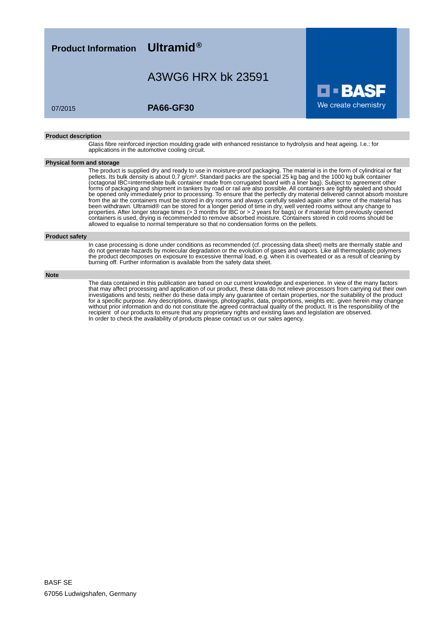**Product Information Ultramid®**

## A3WG6 HRX bk 23591

### 07/2015 **PA66-GF30**

#### **Product description**

Glass fibre reinforced injection moulding grade with enhanced resistance to hydrolysis and heat ageing. I.e.: for applications in the automotive cooling circuit.

#### **Physical form and storage**

The product is supplied dry and ready to use in moisture-proof packaging. The material is in the form of cylindrical or flat pellets. Its bulk density is about 0,7 g/cm<sup>3</sup>. Standard packs are the special 25 kg bag and the 1000 kg bulk container (octagonal IBC=intermediate bulk container made from corrugated board with a liner bag). Subject to agreement other forms of packaging and shipment in tankers by road or rail are also possible. All containers are tightly sealed and should be opened only immediately prior to processing. To ensure that the perfectly dry material delivered cannot absorb moisture from the air the containers must be stored in dry rooms and always carefully sealed again after some of the material has been withdrawn. Ultramid® can be stored for a longer period of time in dry, well vented rooms without any change to properties. After longer storage times (> 3 months for IBC or > 2 years for bags) or if material from previously opened containers is used, drying is recommended to remove absorbed moisture. Containers stored in cold rooms should be allowed to equalise to normal temperature so that no condensation forms on the pellets.

O 3

We create chemistry

#### **Product safety**

In case processing is done under conditions as recommended (cf. processing data sheet) melts are thermally stable and do not generate hazards by molecular degradation or the evolution of gases and vapors. Like all thermoplastic polymers the product decomposes on exposure to excessive thermal load, e.g. when it is overheated or as a result of cleaning by burning off. Further information is available from the safety data sheet.

#### **Note**

The data contained in this publication are based on our current knowledge and experience. In view of the many factors that may affect processing and application of our product, these data do not relieve processors from carrying out their own investigations and tests; neither do these data imply any guarantee of certain properties, nor the suitability of the product for a specific purpose. Any descriptions, drawings, photographs, data, proportions, weights etc. given herein may change without prior information and do not constitute the agreed contractual quality of the product. It is the responsibility of the recipient of our products to ensure that any proprietary rights and existing laws and legislation are observed. In order to check the availability of products please contact us or our sales agency.